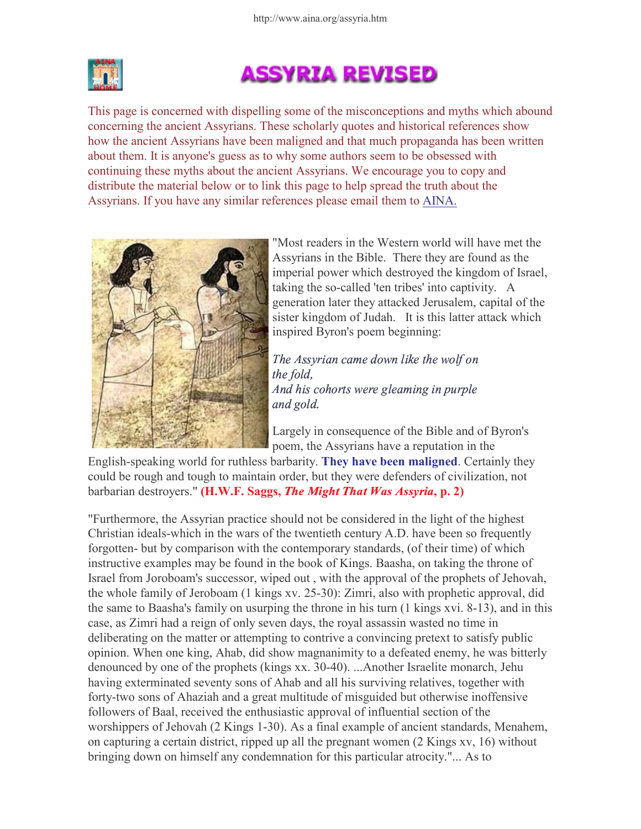

## **ASSYRIA REVISED**

This page is concerned with dispelling some of the misconceptions and myths which abound concerning the ancient Assyrians. These scholarly quotes and historical references show how the ancient Assyrians have been maligned and that much propaganda has been written about them. It is anyone's guess as to why some authors seem to be obsessed with continuing these myths about the ancient Assyrians. We encourage you to copy and distribute the material below or to link this page to help spread the truth about the Assyrians. If you have any similar references please email them to AINA.



"Most readers in the Western world will have met the Assyrians in the Bible. There they are found as the imperial power which destroyed the kingdom of Israel, taking the so-called 'ten tribes' into captivity. A generation later they attacked Jerusalem, capital of the sister kingdom of Judah. It is this latter attack which inspired Byron's poem beginning:

 - -  - - - - - -  -- - and gold.

Largely in consequence of the Bible and of Byron's poem, the Assyrians have a reputation in the

English-speaking world for ruthless barbarity. They have been maligned. Certainly they could be rough and tough to maintain order, but they were defenders of civilization, not barbarian destroyers."  $(H.W.F. Saegs, The Might That Was Assyria, p. 2)$ 

"Furthermore, the Assyrian practice should not be considered in the light of the highest Christian ideals-which in the wars of the twentieth century A.D. have been so frequently forgotten- but by comparison with the contemporary standards, (of their time) of which instructive examples may be found in the book of Kings. Baasha, on taking the throne of Israel from Joroboam's successor, wiped out , with the approval of the prophets of Jehovah, the whole family of Jeroboam (1 kings xv. 25-30): Zimri, also with prophetic approval, did the same to Baasha's family on usurping the throne in his turn (1 kings xvi. 8-13), and in this case, as Zimri had a reign of only seven days, the royal assassin wasted no time in deliberating on the matter or attempting to contrive a convincing pretext to satisfy public opinion. When one king, Ahab, did show magnanimity to a defeated enemy, he was bitterly denounced by one of the prophets (kings xx. 30-40). ...Another Israelite monarch, Jehu having exterminated seventy sons of Ahab and all his surviving relatives, together with forty-two sons of Ahaziah and a great multitude of misguided but otherwise inoffensive followers of Baal, received the enthusiastic approval of influential section of the worshippers of Jehovah (2 Kings 1-30). As a final example of ancient standards, Menahem, on capturing a certain district, ripped up all the pregnant women (2 Kings xv, 16) without bringing down on himself any condemnation for this particular atrocity."... As to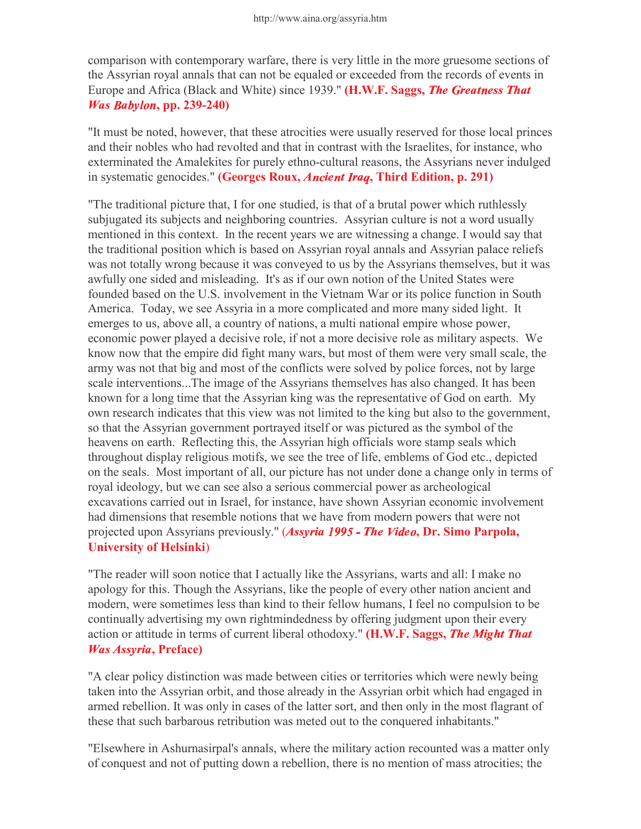comparison with contemporary warfare, there is very little in the more gruesome sections of the Assyrian royal annals that can not be equaled or exceeded from the records of events in Europe and Africa (Black and White) since 1939." (H.W.F. Saggs, The Greatness That **Was Babylon, pp. 239-240)** 

"It must be noted, however, that these atrocities were usually reserved for those local princes and their nobles who had revolted and that in contrast with the Israelites, for instance, who exterminated the Amalekites for purely ethno-cultural reasons, the Assyrians never indulged in systematic genocides." (Georges Roux, Ancient Iraq, Third Edition, p. 291)

"The traditional picture that, I for one studied, is that of a brutal power which ruthlessly subjugated its subjects and neighboring countries. Assyrian culture is not a word usually mentioned in this context. In the recent years we are witnessing a change. I would say that the traditional position which is based on Assyrian royal annals and Assyrian palace reliefs was not totally wrong because it was conveyed to us by the Assyrians themselves, but it was awfully one sided and misleading. It's as if our own notion of the United States were founded based on the U.S. involvement in the Vietnam War or its police function in South America. Today, we see Assyria in a more complicated and more many sided light. It emerges to us, above all, a country of nations, a multi national empire whose power, economic power played a decisive role, if not a more decisive role as military aspects. We know now that the empire did fight many wars, but most of them were very small scale, the army was not that big and most of the conflicts were solved by police forces, not by large scale interventions...The image of the Assyrians themselves has also changed. It has been known for a long time that the Assyrian king was the representative of God on earth. My own research indicates that this view was not limited to the king but also to the government, so that the Assyrian government portrayed itself or was pictured as the symbol of the heavens on earth. Reflecting this, the Assyrian high officials wore stamp seals which throughout display religious motifs, we see the tree of life, emblems of God etc., depicted on the seals. Most important of all, our picture has not under done a change only in terms of royal ideology, but we can see also a serious commercial power as archeological excavations carried out in Israel, for instance, have shown Assyrian economic involvement had dimensions that resemble notions that we have from modern powers that were not projected upon Assyrians previously." (Assyria 1995 - The Video, Dr. Simo Parpola, University of Helsinki)

"The reader will soon notice that I actually like the Assyrians, warts and all: I make no apology for this. Though the Assyrians, like the people of every other nation ancient and modern, were sometimes less than kind to their fellow humans, I feel no compulsion to be continually advertising my own rightmindedness by offering judgment upon their every action or attitude in terms of current liberal othodoxy." (H.W.F. Saggs, The Might That *Was Assyria*, Preface)

"A clear policy distinction was made between cities or territories which were newly being taken into the Assyrian orbit, and those already in the Assyrian orbit which had engaged in armed rebellion. It was only in cases of the latter sort, and then only in the most flagrant of these that such barbarous retribution was meted out to the conquered inhabitants."

"Elsewhere in Ashurnasirpal's annals, where the military action recounted was a matter only of conquest and not of putting down a rebellion, there is no mention of mass atrocities; the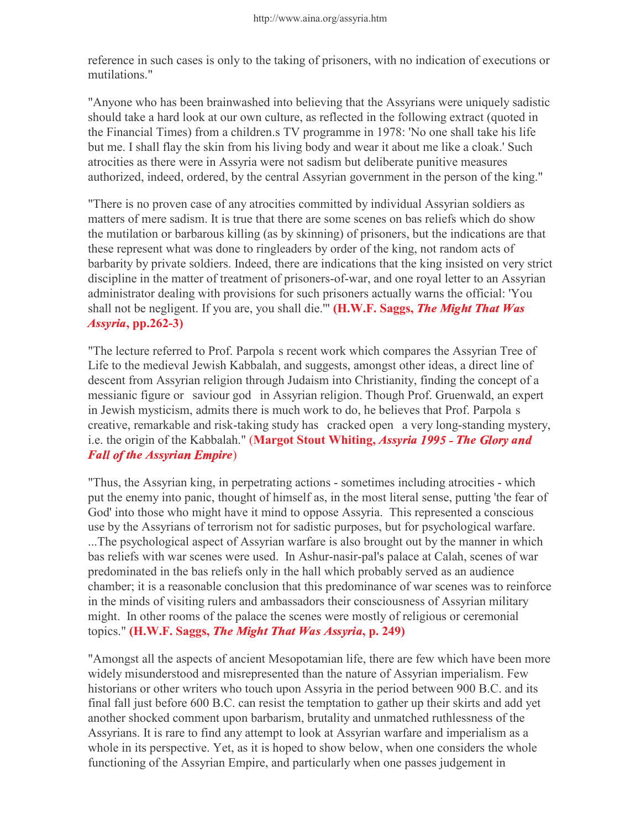reference in such cases is only to the taking of prisoners, with no indication of executions or mutilations."

"Anyone who has been brainwashed into believing that the Assyrians were uniquely sadistic should take a hard look at our own culture, as reflected in the following extract (quoted in the Financial Times) from a children.s TV programme in 1978: 'No one shall take his life but me. I shall flay the skin from his living body and wear it about me like a cloak.' Such atrocities as there were in Assyria were not sadism but deliberate punitive measures authorized, indeed, ordered, by the central Assyrian government in the person of the king."

"There is no proven case of any atrocities committed by individual Assyrian soldiers as matters of mere sadism. It is true that there are some scenes on bas reliefs which do show the mutilation or barbarous killing (as by skinning) of prisoners, but the indications are that these represent what was done to ringleaders by order of the king, not random acts of barbarity by private soldiers. Indeed, there are indications that the king insisted on very strict discipline in the matter of treatment of prisoners-of-war, and one royal letter to an Assyrian administrator dealing with provisions for such prisoners actually warns the official: 'You shall not be negligent. If you are, you shall die."" (H.W.F. Saggs, The Might That Was  $\lambda$ ssvria, pp.262-3)

"The lecture referred to Prof. Parpolaís recent work which compares the Assyrian Tree of Life to the medieval Jewish Kabbalah, and suggests, amongst other ideas, a direct line of descent from Assyrian religion through Judaism into Christianity, finding the concept of a messianic figure or ìsaviour godî in Assyrian religion. Though Prof. Gruenwald, an expert in Jewish mysticism, admits there is much work to do, he believes that Prof. Parpolaís creative, remarkable and risk-taking study has ìcracked openî a very long-standing mystery, i.e. the origin of the Kabbalah." (Margot Stout Whiting, Assyria 1995 - The Glory and all of the Assyrian Empire)

"Thus, the Assyrian king, in perpetrating actions - sometimes including atrocities - which put the enemy into panic, thought of himself as, in the most literal sense, putting 'the fear of God' into those who might have it mind to oppose Assyria. This represented a conscious use by the Assyrians of terrorism not for sadistic purposes, but for psychological warfare. ...The psychological aspect of Assyrian warfare is also brought out by the manner in which bas reliefs with war scenes were used. In Ashur-nasir-pal's palace at Calah, scenes of war predominated in the bas reliefs only in the hall which probably served as an audience chamber; it is a reasonable conclusion that this predominance of war scenes was to reinforce in the minds of visiting rulers and ambassadors their consciousness of Assyrian military might. In other rooms of the palace the scenes were mostly of religious or ceremonial topics." (H.W.F. Saggs, The Might That Was Assyria, p. 249)

"Amongst all the aspects of ancient Mesopotamian life, there are few which have been more widely misunderstood and misrepresented than the nature of Assyrian imperialism. Few historians or other writers who touch upon Assyria in the period between 900 B.C. and its final fall just before 600 B.C. can resist the temptation to gather up their skirts and add yet another shocked comment upon barbarism, brutality and unmatched ruthlessness of the Assyrians. It is rare to find any attempt to look at Assyrian warfare and imperialism as a whole in its perspective. Yet, as it is hoped to show below, when one considers the whole functioning of the Assyrian Empire, and particularly when one passes judgement in